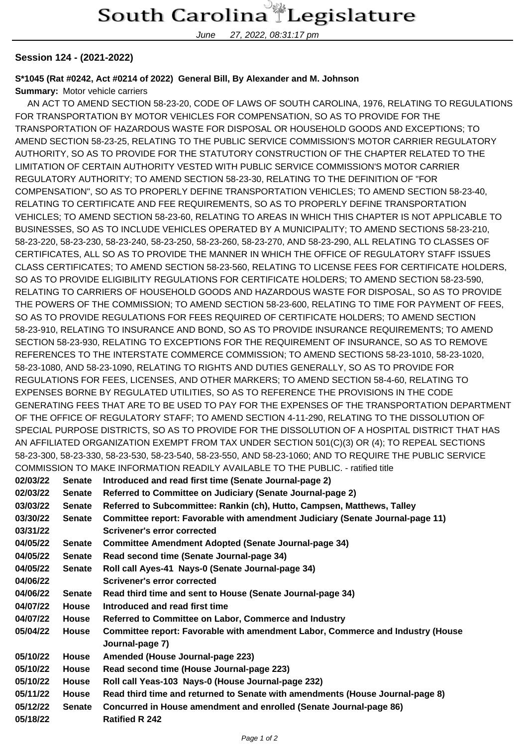## South Carolina Legislature

June 27, 2022, 08:31:17 pm

## **Session 124 - (2021-2022)**

## **S\*1045 (Rat #0242, Act #0214 of 2022) General Bill, By Alexander and M. Johnson**

**Summary:** Motor vehicle carriers

 AN ACT TO AMEND SECTION 58-23-20, CODE OF LAWS OF SOUTH CAROLINA, 1976, RELATING TO REGULATIONS FOR TRANSPORTATION BY MOTOR VEHICLES FOR COMPENSATION, SO AS TO PROVIDE FOR THE TRANSPORTATION OF HAZARDOUS WASTE FOR DISPOSAL OR HOUSEHOLD GOODS AND EXCEPTIONS; TO AMEND SECTION 58-23-25, RELATING TO THE PUBLIC SERVICE COMMISSION'S MOTOR CARRIER REGULATORY AUTHORITY, SO AS TO PROVIDE FOR THE STATUTORY CONSTRUCTION OF THE CHAPTER RELATED TO THE LIMITATION OF CERTAIN AUTHORITY VESTED WITH PUBLIC SERVICE COMMISSION'S MOTOR CARRIER REGULATORY AUTHORITY; TO AMEND SECTION 58-23-30, RELATING TO THE DEFINITION OF "FOR COMPENSATION", SO AS TO PROPERLY DEFINE TRANSPORTATION VEHICLES; TO AMEND SECTION 58-23-40, RELATING TO CERTIFICATE AND FEE REQUIREMENTS, SO AS TO PROPERLY DEFINE TRANSPORTATION VEHICLES; TO AMEND SECTION 58-23-60, RELATING TO AREAS IN WHICH THIS CHAPTER IS NOT APPLICABLE TO BUSINESSES, SO AS TO INCLUDE VEHICLES OPERATED BY A MUNICIPALITY; TO AMEND SECTIONS 58-23-210, 58-23-220, 58-23-230, 58-23-240, 58-23-250, 58-23-260, 58-23-270, AND 58-23-290, ALL RELATING TO CLASSES OF CERTIFICATES, ALL SO AS TO PROVIDE THE MANNER IN WHICH THE OFFICE OF REGULATORY STAFF ISSUES CLASS CERTIFICATES; TO AMEND SECTION 58-23-560, RELATING TO LICENSE FEES FOR CERTIFICATE HOLDERS, SO AS TO PROVIDE ELIGIBILITY REGULATIONS FOR CERTIFICATE HOLDERS; TO AMEND SECTION 58-23-590, RELATING TO CARRIERS OF HOUSEHOLD GOODS AND HAZARDOUS WASTE FOR DISPOSAL, SO AS TO PROVIDE THE POWERS OF THE COMMISSION; TO AMEND SECTION 58-23-600, RELATING TO TIME FOR PAYMENT OF FEES, SO AS TO PROVIDE REGULATIONS FOR FEES REQUIRED OF CERTIFICATE HOLDERS; TO AMEND SECTION 58-23-910, RELATING TO INSURANCE AND BOND, SO AS TO PROVIDE INSURANCE REQUIREMENTS; TO AMEND SECTION 58-23-930, RELATING TO EXCEPTIONS FOR THE REQUIREMENT OF INSURANCE, SO AS TO REMOVE REFERENCES TO THE INTERSTATE COMMERCE COMMISSION; TO AMEND SECTIONS 58-23-1010, 58-23-1020, 58-23-1080, AND 58-23-1090, RELATING TO RIGHTS AND DUTIES GENERALLY, SO AS TO PROVIDE FOR REGULATIONS FOR FEES, LICENSES, AND OTHER MARKERS; TO AMEND SECTION 58-4-60, RELATING TO EXPENSES BORNE BY REGULATED UTILITIES, SO AS TO REFERENCE THE PROVISIONS IN THE CODE GENERATING FEES THAT ARE TO BE USED TO PAY FOR THE EXPENSES OF THE TRANSPORTATION DEPARTMENT OF THE OFFICE OF REGULATORY STAFF; TO AMEND SECTION 4-11-290, RELATING TO THE DISSOLUTION OF SPECIAL PURPOSE DISTRICTS, SO AS TO PROVIDE FOR THE DISSOLUTION OF A HOSPITAL DISTRICT THAT HAS AN AFFILIATED ORGANIZATION EXEMPT FROM TAX UNDER SECTION 501(C)(3) OR (4); TO REPEAL SECTIONS 58-23-300, 58-23-330, 58-23-530, 58-23-540, 58-23-550, AND 58-23-1060; AND TO REQUIRE THE PUBLIC SERVICE COMMISSION TO MAKE INFORMATION READILY AVAILABLE TO THE PUBLIC. - ratified title

| 02/03/22 | <b>Senate</b> | Introduced and read first time (Senate Journal-page 2)                         |
|----------|---------------|--------------------------------------------------------------------------------|
| 02/03/22 | <b>Senate</b> | Referred to Committee on Judiciary (Senate Journal-page 2)                     |
| 03/03/22 | <b>Senate</b> | Referred to Subcommittee: Rankin (ch), Hutto, Campsen, Matthews, Talley        |
| 03/30/22 | <b>Senate</b> | Committee report: Favorable with amendment Judiciary (Senate Journal-page 11)  |
| 03/31/22 |               | Scrivener's error corrected                                                    |
| 04/05/22 | <b>Senate</b> | <b>Committee Amendment Adopted (Senate Journal-page 34)</b>                    |
| 04/05/22 | <b>Senate</b> | Read second time (Senate Journal-page 34)                                      |
| 04/05/22 | <b>Senate</b> | Roll call Ayes-41 Nays-0 (Senate Journal-page 34)                              |
| 04/06/22 |               | Scrivener's error corrected                                                    |
| 04/06/22 | <b>Senate</b> | Read third time and sent to House (Senate Journal-page 34)                     |
| 04/07/22 | <b>House</b>  | Introduced and read first time                                                 |
| 04/07/22 | House         | Referred to Committee on Labor, Commerce and Industry                          |
| 05/04/22 | <b>House</b>  | Committee report: Favorable with amendment Labor, Commerce and Industry (House |
|          |               | Journal-page 7)                                                                |
| 05/10/22 | <b>House</b>  | Amended (House Journal-page 223)                                               |
| 05/10/22 | <b>House</b>  | Read second time (House Journal-page 223)                                      |
| 05/10/22 | <b>House</b>  | Roll call Yeas-103 Nays-0 (House Journal-page 232)                             |
| 05/11/22 | <b>House</b>  | Read third time and returned to Senate with amendments (House Journal-page 8)  |
| 05/12/22 | <b>Senate</b> | Concurred in House amendment and enrolled (Senate Journal-page 86)             |
| 05/18/22 |               | <b>Ratified R 242</b>                                                          |